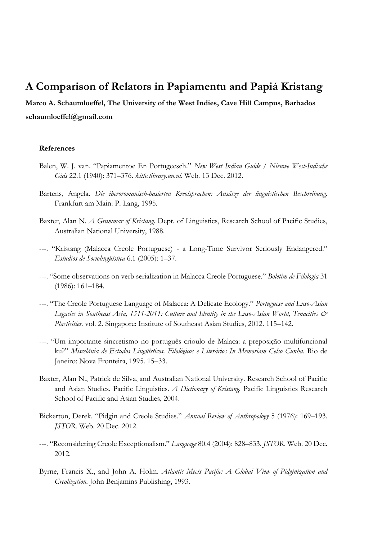## **A Comparison of Relators in Papiamentu and Papiá Kristang**

**Marco A. Schaumloeffel, The University of the West Indies, Cave Hill Campus, Barbados schaumloeffel@gmail.com**

## **References**

- Balen, W. J. van. "Papiamentoe En Portugeesch." *New West Indian Guide / Nieuwe West-Indische Gids* 22.1 (1940): 371–376. *kitlv.library.uu.nl*. Web. 13 Dec. 2012.
- Bartens, Angela. *Die iberoromanisch-basierten Kreolsprachen: Ansätze der linguistischen Beschreibung*. Frankfurt am Main: P. Lang, 1995.
- Baxter, Alan N. *A Grammar of Kristang*. Dept. of Linguistics, Research School of Pacific Studies, Australian National University, 1988.
- ---. "Kristang (Malacca Creole Portuguese) a Long-Time Survivor Seriously Endangered." *Estudios de Sociolingüística* 6.1 (2005): 1–37.
- ---. "Some observations on verb serialization in Malacca Creole Portuguese." *Boletim de Filologia* 31 (1986): 161–184.
- ---. "The Creole Portuguese Language of Malacca: A Delicate Ecology." *Portuguese and Luso-Asian Legacies in Southeast Asia, 1511-2011: Culture and Identity in the Luso-Asian World, Tenacities & Plasticities*. vol. 2. Singapore: Institute of Southeast Asian Studies, 2012. 115–142.
- ---. "Um importante sincretismo no português crioulo de Malaca: a preposição multifuncional ku?" *Miscelânia de Estudos Lingüísticos, Filológicos e Literários In Memoriam Celso Cunha*. Rio de Janeiro: Nova Fronteira, 1995. 15–33.
- Baxter, Alan N., Patrick de Silva, and Australian National University. Research School of Pacific and Asian Studies. Pacific Linguistics. *A Dictionary of Kristang.* Pacific Linguistics Research School of Pacific and Asian Studies, 2004.
- Bickerton, Derek. "Pidgin and Creole Studies." *Annual Review of Anthropology* 5 (1976): 169–193. *JSTOR*. Web. 20 Dec. 2012.
- ---. "Reconsidering Creole Exceptionalism." *Language* 80.4 (2004): 828–833. *JSTOR*. Web. 20 Dec. 2012.
- Byrne, Francis X., and John A. Holm. *Atlantic Meets Pacific: A Global View of Pidginization and Creolization*. John Benjamins Publishing, 1993.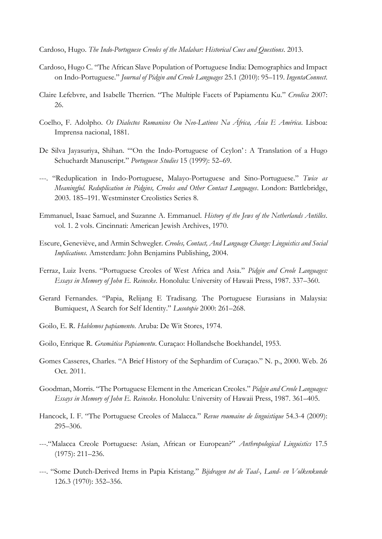- Cardoso, Hugo. *The Indo-Portuguese Creoles of the Malabar: Historical Cues and Questions*. 2013.
- Cardoso, Hugo C. "The African Slave Population of Portuguese India: Demographics and Impact on Indo-Portuguese." *Journal of Pidgin and Creole Languages* 25.1 (2010): 95–119. *IngentaConnect*.
- Claire Lefebvre, and Isabelle Therrien. "The Multiple Facets of Papiamentu Ku." *Creolica* 2007: 26.
- Coelho, F. Adolpho. *Os Dialectos Romanicos Ou Neo-Latinos Na África, Ásia E América*. Lisboa: Imprensa nacional, 1881.
- De Silva Jayasuriya, Shihan. "'On the Indo-Portuguese of Ceylon': A Translation of a Hugo Schuchardt Manuscript." *Portuguese Studies* 15 (1999): 52–69.
- ---. "Reduplication in Indo-Portuguese, Malayo-Portuguese and Sino-Portuguese." *Twice as Meaningful. Reduplication in Pidgins, Creoles and Other Contact Languages*. London: Battlebridge, 2003. 185–191. Westminster Creolistics Series 8.
- Emmanuel, Isaac Samuel, and Suzanne A. Emmanuel. *History of the Jews of the Netherlands Antilles*. vol. 1. 2 vols. Cincinnati: American Jewish Archives, 1970.
- Escure, Geneviève, and Armin Schwegler. *Creoles, Contact, And Language Change: Linguistics and Social Implications*. Amsterdam: John Benjamins Publishing, 2004.
- Ferraz, Luiz Ivens. "Portuguese Creoles of West Africa and Asia." *Pidgin and Creole Languages: Essays in Memory of John E. Reinecke*. Honolulu: University of Hawaii Press, 1987. 337–360.
- Gerard Fernandes. "Papia, Relijang E Tradisang. The Portuguese Eurasians in Malaysia: Bumiquest, A Search for Self Identity." *Lusotopie* 2000: 261–268.
- Goilo, E. R. *Hablemos papiamento*. Aruba: De Wit Stores, 1974.
- Goilo, Enrique R. *Gramática Papiamentu*. Curaçao: Hollandsche Boekhandel, 1953.
- Gomes Casseres, Charles. "A Brief History of the Sephardim of Curaçao." N. p., 2000. Web. 26 Oct. 2011.
- Goodman, Morris. "The Portuguese Element in the American Creoles." *Pidgin and Creole Languages: Essays in Memory of John E. Reinecke*. Honolulu: University of Hawaii Press, 1987. 361–405.
- Hancock, I. F. "The Portuguese Creoles of Malacca." *Revue roumaine de linguistique* 54.3-4 (2009): 295–306.
- ---."Malacca Creole Portuguese: Asian, African or European?" *Anthropological Linguistics* 17.5 (1975): 211–236.
- ---. "Some Dutch-Derived Items in Papia Kristang." *Bijdragen tot de Taal-, Land- en Volkenkunde* 126.3 (1970): 352–356.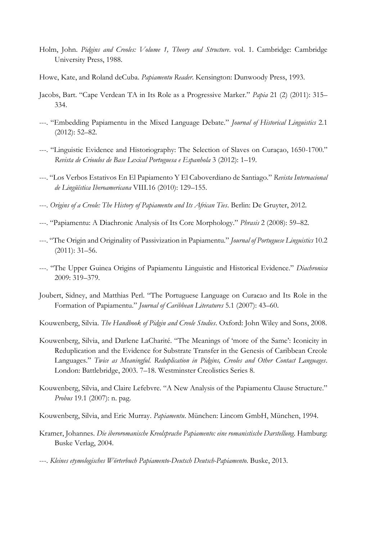- Holm, John. Pidgins and Creoles: Volume 1, Theory and Structure. vol. 1. Cambridge: Cambridge University Press, 1988.
- Howe, Kate, and Roland deCuba. *Papiamentu Reader*. Kensington: Dunwoody Press, 1993.
- Jacobs, Bart. "Cape Verdean TA in Its Role as a Progressive Marker." *Papia* 21 (2) (2011): 315– 334.
- ---. "Embedding Papiamentu in the Mixed Language Debate." *Journal of Historical Linguistics* 2.1 (2012): 52–82.
- ---. "Linguistic Evidence and Historiography: The Selection of Slaves on Curaçao, 1650-1700." *Revista de Crioulos de Base Lexical Portuguesa e Espanhola* 3 (2012): 1–19.
- ---. "Los Verbos Estativos En El Papiamento Y El Caboverdiano de Santiago." *Revista Internacional de Lingüística Iberoamericana* VIII.16 (2010): 129–155.
- ---. *Origins of a Creole: The History of Papiamentu and Its African Ties*. Berlin: De Gruyter, 2012.
- ---. "Papiamentu: A Diachronic Analysis of Its Core Morphology." *Phrasis* 2 (2008): 59–82.
- ---. "The Origin and Originality of Passivization in Papiamentu." *Journal of Portuguese Linguistics* 10.2 (2011): 31–56.
- ---. "The Upper Guinea Origins of Papiamentu Linguistic and Historical Evidence." *Diachronica* 2009: 319–379.
- Joubert, Sidney, and Matthias Perl. "The Portuguese Language on Curacao and Its Role in the Formation of Papiamentu." *Journal of Caribbean Literatures* 5.1 (2007): 43–60.
- Kouwenberg, Silvia. *The Handbook of Pidgin and Creole Studies*. Oxford: John Wiley and Sons, 2008.
- Kouwenberg, Silvia, and Darlene LaCharité. "The Meanings of 'more of the Same': Iconicity in Reduplication and the Evidence for Substrate Transfer in the Genesis of Caribbean Creole Languages." *Twice as Meaningful. Reduplication in Pidgins, Creoles and Other Contact Languages*. London: Battlebridge, 2003. 7–18. Westminster Creolistics Series 8.
- Kouwenberg, Silvia, and Claire Lefebvre. "A New Analysis of the Papiamentu Clause Structure." *Probus* 19.1 (2007): n. pag.
- Kouwenberg, Silvia, and Eric Murray. *Papiamentu*. München: Lincom GmbH, München, 1994.
- Kramer, Johannes. *Die iberoromanische Kreolsprache Papiamento: eine romanistische Darstellung*. Hamburg: Buske Verlag, 2004.
- ---. *Kleines etymologisches Wörterbuch Papiamento-Deutsch Deutsch-Papiamento*. Buske, 2013.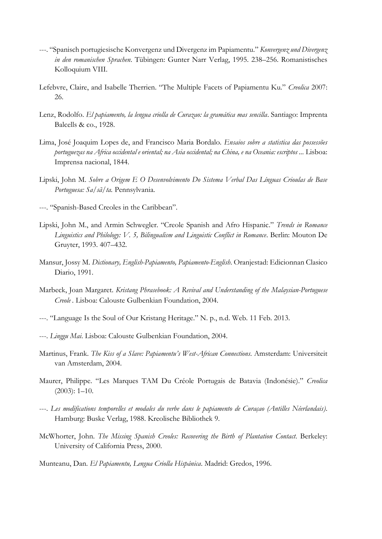- ---. "Spanisch portugiesische Konvergenz und Divergenz im Papiamentu." *Konvergenz und Divergenz in den romanischen Sprachen*. Tübingen: Gunter Narr Verlag, 1995. 238–256. Romanistisches Kolloquium VIII.
- Lefebvre, Claire, and Isabelle Therrien. "The Multiple Facets of Papiamentu Ku." *Creolica* 2007: 26.
- Lenz, Rodolfo. *El papiamento, la lengua criolla de Curazao: la gramática mas sencilla*. Santiago: Imprenta Balcells & co., 1928.
- Lima, José Joaquim Lopes de, and Francisco Maria Bordalo. *Ensaios sobre a statistica das possessões portuguezas na Africa occidental e oriental; na Asia occidental; na China, e na Oceania: escriptos ...* Lisboa: Imprensa nacional, 1844.
- Lipski, John M. *Sobre a Origem E O Desenvolvimento Do Sistema Verbal Das Línguas Crioulas de Base Portuguesa: Sa/sã/ta.* Pennsylvania.
- ---. "Spanish-Based Creoles in the Caribbean".
- Lipski, John M., and Armin Schwegler. "Creole Spanish and Afro Hispanic." *Trends in Romance Linguistics and Philology: V. 5, Bilingualism and Linguistic Conflict in Romance*. Berlin: Mouton De Gruyter, 1993. 407–432.
- Mansur, Jossy M. *Dictionary, English-Papiamento, Papiamento-English*. Oranjestad: Edicionnan Clasico Diario, 1991.
- Marbeck, Joan Margaret. *Kristang Phrasebook: A Revival and Understanding of the Malaysian-Portuguese Creole .* Lisboa: Calouste Gulbenkian Foundation, 2004.
- ---. "Language Is the Soul of Our Kristang Heritage." N. p., n.d. Web. 11 Feb. 2013.
- ---. *Linggu Mai*. Lisboa: Calouste Gulbenkian Foundation, 2004.
- Martinus, Frank. *The Kiss of a Slave: Papiamentu's West-African Connections*. Amsterdam: Universiteit van Amsterdam, 2004.
- Maurer, Philippe. "Les Marques TAM Du Créole Portugais de Batavia (Indonésie)." *Creolica* (2003): 1–10.
- ---. *Les modifications temporelles et modales du verbe dans le papiamento de Curaçao (Antilles Néerlandais)*. Hamburg: Buske Verlag, 1988. Kreolische Bibliothek 9.
- McWhorter, John. *The Missing Spanish Creoles: Recovering the Birth of Plantation Contact*. Berkeley: University of California Press, 2000.
- Munteanu, Dan. *El Papiamentu, Lengua Criolla Hispánica*. Madrid: Gredos, 1996.